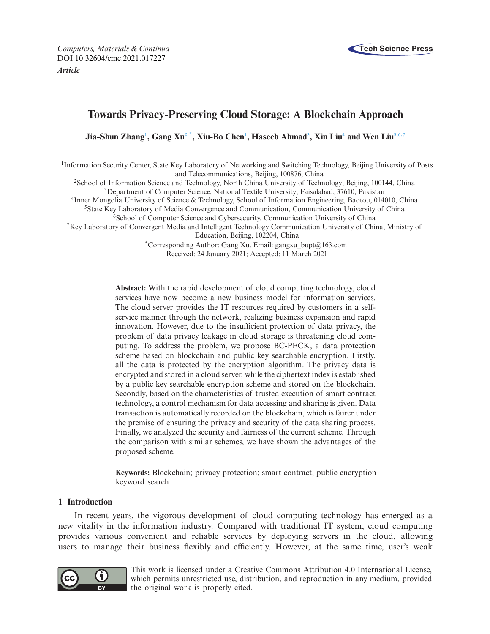*Computers, Materials & Continua* **Tech Science Press** DOI[:10.32604/cmc.2021.017227](http://dx.doi.org/10.32604/cmc.2021.017227) *Article*



# **Towards Privacy-Preserving Cloud Storage: A Blockchain Approach**

**Jia-Shun Zhan[g1](#page-0-0) , Gang X[u2,](#page-0-1)[\\*,](#page-0-2) Xiu-Bo Che[n1](#page-0-0) , Haseeb Ahma[d3](#page-0-3) , Xin Li[u4](#page-0-4) and Wen Li[u5](#page-0-5)[,6](#page-0-6)[,7](#page-0-7)**

<span id="page-0-0"></span><sup>1</sup>Information Security Center, State Key Laboratory of Networking and Switching Technology, Beijing University of Posts and Telecommunications, Beijing, 100876, China

<span id="page-0-1"></span>2School of Information Science and Technology, North China University of Technology, Beijing, 100144, China

<span id="page-0-3"></span>3Department of Computer Science, National Textile University, Faisalabad, 37610, Pakistan

<span id="page-0-4"></span>4Inner Mongolia University of Science & Technology, School of Information Engineering, Baotou, 014010, China

<span id="page-0-5"></span><sup>5</sup>State Key Laboratory of Media Convergence and Communication, Communication University of China

<span id="page-0-6"></span><sup>6</sup>School of Computer Science and Cybersecurity, Communication University of China

<span id="page-0-7"></span>7Key Laboratory of Convergent Media and Intelligent Technology Communication University of China, Ministry of

Education, Beijing, 102204, China

<span id="page-0-2"></span>\*Corresponding Author: Gang Xu. Email: gangxu\_bupt@163.com Received: 24 January 2021; Accepted: 11 March 2021

**Abstract:** With the rapid development of cloud computing technology, cloud services have now become a new business model for information services. The cloud server provides the IT resources required by customers in a selfservice manner through the network, realizing business expansion and rapid innovation. However, due to the insufficient protection of data privacy, the problem of data privacy leakage in cloud storage is threatening cloud computing. To address the problem, we propose BC-PECK, a data protection scheme based on blockchain and public key searchable encryption. Firstly, all the data is protected by the encryption algorithm. The privacy data is encrypted and stored in a cloud server, while the ciphertext index is established by a public key searchable encryption scheme and stored on the blockchain. Secondly, based on the characteristics of trusted execution of smart contract technology, a control mechanism for data accessing and sharing is given. Data transaction is automatically recorded on the blockchain, which is fairer under the premise of ensuring the privacy and security of the data sharing process. Finally, we analyzed the security and fairness of the current scheme. Through the comparison with similar schemes, we have shown the advantages of the proposed scheme.

**Keywords:** Blockchain; privacy protection; smart contract; public encryption keyword search

# **1 Introduction**

In recent years, the vigorous development of cloud computing technology has emerged as a new vitality in the information industry. Compared with traditional IT system, cloud computing provides various convenient and reliable services by deploying servers in the cloud, allowing users to manage their business flexibly and efficiently. However, at the same time, user's weak



This work is licensed under a Creative Commons Attribution 4.0 International License, which permits unrestricted use, distribution, and reproduction in any medium, provided the original work is properly cited.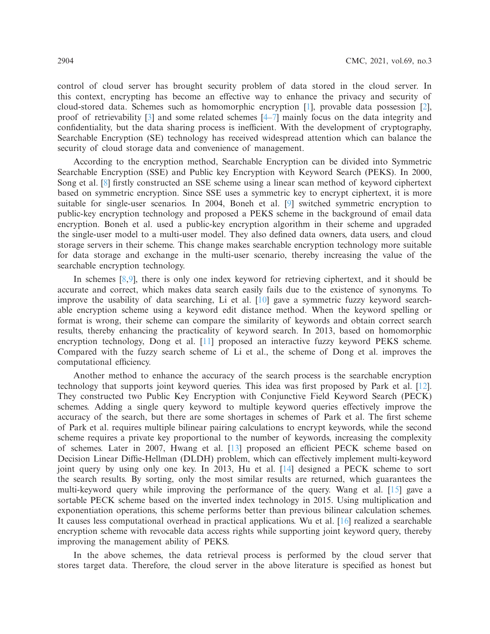control of cloud server has brought security problem of data stored in the cloud server. In this context, encrypting has become an effective way to enhance the privacy and security of cloud-stored data. Schemes such as homomorphic encryption [\[1](#page-11-0)], provable data possession [\[2\]](#page-11-1), proof of retrievability [\[3\]](#page-11-2) and some related schemes [\[4](#page-11-3)[–7\]](#page-11-4) mainly focus on the data integrity and confidentiality, but the data sharing process is inefficient. With the development of cryptography, Searchable Encryption (SE) technology has received widespread attention which can balance the security of cloud storage data and convenience of management.

According to the encryption method, Searchable Encryption can be divided into Symmetric Searchable Encryption (SSE) and Public key Encryption with Keyword Search (PEKS). In 2000, Song et al. [\[8\]](#page-11-5) firstly constructed an SSE scheme using a linear scan method of keyword ciphertext based on symmetric encryption. Since SSE uses a symmetric key to encrypt ciphertext, it is more suitable for single-user scenarios. In 2004, Boneh et al. [\[9](#page-12-0)] switched symmetric encryption to public-key encryption technology and proposed a PEKS scheme in the background of email data encryption. Boneh et al. used a public-key encryption algorithm in their scheme and upgraded the single-user model to a multi-user model. They also defined data owners, data users, and cloud storage servers in their scheme. This change makes searchable encryption technology more suitable for data storage and exchange in the multi-user scenario, thereby increasing the value of the searchable encryption technology.

In schemes [\[8](#page-11-5)[,9](#page-12-0)], there is only one index keyword for retrieving ciphertext, and it should be accurate and correct, which makes data search easily fails due to the existence of synonyms. To improve the usability of data searching, Li et al. [\[10](#page-12-1)] gave a symmetric fuzzy keyword searchable encryption scheme using a keyword edit distance method. When the keyword spelling or format is wrong, their scheme can compare the similarity of keywords and obtain correct search results, thereby enhancing the practicality of keyword search. In 2013, based on homomorphic encryption technology, Dong et al. [\[11](#page-12-2)] proposed an interactive fuzzy keyword PEKS scheme. Compared with the fuzzy search scheme of Li et al., the scheme of Dong et al. improves the computational efficiency.

Another method to enhance the accuracy of the search process is the searchable encryption technology that supports joint keyword queries. This idea was first proposed by Park et al. [\[12\]](#page-12-3). They constructed two Public Key Encryption with Conjunctive Field Keyword Search (PECK) schemes. Adding a single query keyword to multiple keyword queries effectively improve the accuracy of the search, but there are some shortages in schemes of Park et al. The first scheme of Park et al. requires multiple bilinear pairing calculations to encrypt keywords, while the second scheme requires a private key proportional to the number of keywords, increasing the complexity of schemes. Later in 2007, Hwang et al. [\[13](#page-12-4)] proposed an efficient PECK scheme based on Decision Linear Diffie-Hellman (DLDH) problem, which can effectively implement multi-keyword joint query by using only one key. In 2013, Hu et al. [\[14](#page-12-5)] designed a PECK scheme to sort the search results. By sorting, only the most similar results are returned, which guarantees the multi-keyword query while improving the performance of the query. Wang et al. [\[15\]](#page-12-6) gave a sortable PECK scheme based on the inverted index technology in 2015. Using multiplication and exponentiation operations, this scheme performs better than previous bilinear calculation schemes. It causes less computational overhead in practical applications. Wu et al. [\[16\]](#page-12-7) realized a searchable encryption scheme with revocable data access rights while supporting joint keyword query, thereby improving the management ability of PEKS.

In the above schemes, the data retrieval process is performed by the cloud server that stores target data. Therefore, the cloud server in the above literature is specified as honest but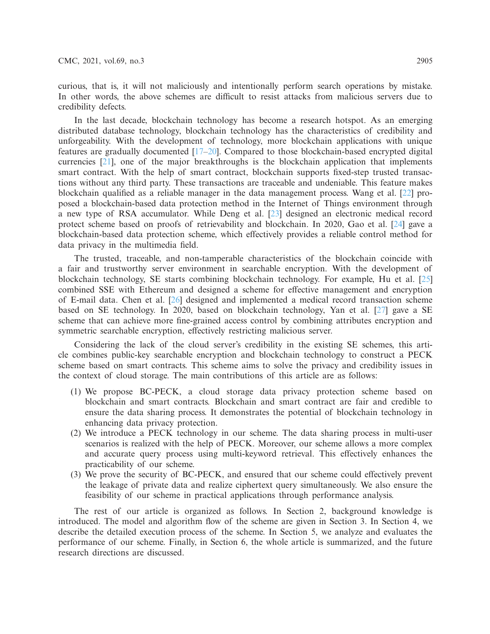curious, that is, it will not maliciously and intentionally perform search operations by mistake. In other words, the above schemes are difficult to resist attacks from malicious servers due to credibility defects.

In the last decade, blockchain technology has become a research hotspot. As an emerging distributed database technology, blockchain technology has the characteristics of credibility and unforgeability. With the development of technology, more blockchain applications with unique features are gradually documented [\[17](#page-12-8)[–20\]](#page-12-9). Compared to those blockchain-based encrypted digital currencies [\[21](#page-12-10)], one of the major breakthroughs is the blockchain application that implements smart contract. With the help of smart contract, blockchain supports fixed-step trusted transactions without any third party. These transactions are traceable and undeniable. This feature makes blockchain qualified as a reliable manager in the data management process. Wang et al. [\[22\]](#page-12-11) proposed a blockchain-based data protection method in the Internet of Things environment through a new type of RSA accumulator. While Deng et al. [\[23](#page-12-12)] designed an electronic medical record protect scheme based on proofs of retrievability and blockchain. In 2020, Gao et al. [\[24\]](#page-12-13) gave a blockchain-based data protection scheme, which effectively provides a reliable control method for data privacy in the multimedia field.

The trusted, traceable, and non-tamperable characteristics of the blockchain coincide with a fair and trustworthy server environment in searchable encryption. With the development of blockchain technology, SE starts combining blockchain technology. For example, Hu et al. [\[25\]](#page-12-14) combined SSE with Ethereum and designed a scheme for effective management and encryption of E-mail data. Chen et al. [\[26\]](#page-12-15) designed and implemented a medical record transaction scheme based on SE technology. In 2020, based on blockchain technology, Yan et al. [\[27\]](#page-13-0) gave a SE scheme that can achieve more fine-grained access control by combining attributes encryption and symmetric searchable encryption, effectively restricting malicious server.

Considering the lack of the cloud server's credibility in the existing SE schemes, this article combines public-key searchable encryption and blockchain technology to construct a PECK scheme based on smart contracts. This scheme aims to solve the privacy and credibility issues in the context of cloud storage. The main contributions of this article are as follows:

- (1) We propose BC-PECK, a cloud storage data privacy protection scheme based on blockchain and smart contracts. Blockchain and smart contract are fair and credible to ensure the data sharing process. It demonstrates the potential of blockchain technology in enhancing data privacy protection.
- (2) We introduce a PECK technology in our scheme. The data sharing process in multi-user scenarios is realized with the help of PECK. Moreover, our scheme allows a more complex and accurate query process using multi-keyword retrieval. This effectively enhances the practicability of our scheme.
- (3) We prove the security of BC-PECK, and ensured that our scheme could effectively prevent the leakage of private data and realize ciphertext query simultaneously. We also ensure the feasibility of our scheme in practical applications through performance analysis.

The rest of our article is organized as follows. In Section 2, background knowledge is introduced. The model and algorithm flow of the scheme are given in Section 3. In Section 4, we describe the detailed execution process of the scheme. In Section 5, we analyze and evaluates the performance of our scheme. Finally, in Section 6, the whole article is summarized, and the future research directions are discussed.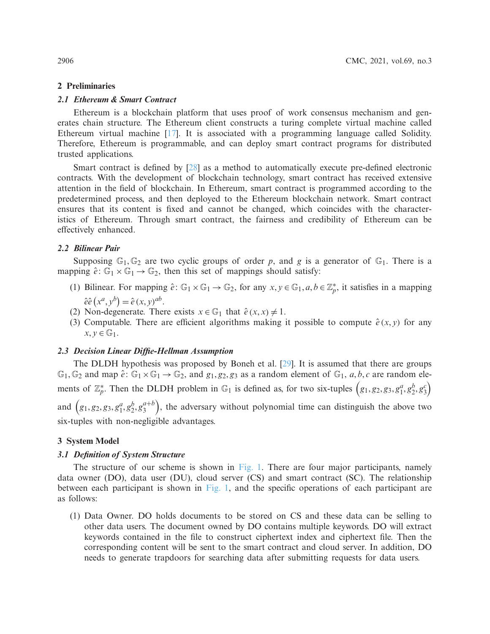### **2 Preliminaries**

# *2.1 Ethereum & Smart Contract*

Ethereum is a blockchain platform that uses proof of work consensus mechanism and generates chain structure. The Ethereum client constructs a turing complete virtual machine called Ethereum virtual machine [\[17\]](#page-12-8). It is associated with a programming language called Solidity. Therefore, Ethereum is programmable, and can deploy smart contract programs for distributed trusted applications.

Smart contract is defined by [\[28\]](#page-13-1) as a method to automatically execute pre-defined electronic contracts. With the development of blockchain technology, smart contract has received extensive attention in the field of blockchain. In Ethereum, smart contract is programmed according to the predetermined process, and then deployed to the Ethereum blockchain network. Smart contract ensures that its content is fixed and cannot be changed, which coincides with the characteristics of Ethereum. Through smart contract, the fairness and credibility of Ethereum can be effectively enhanced.

#### *2.2 Bilinear Pair*

Supposing  $\mathbb{G}_1$ ,  $\mathbb{G}_2$  are two cyclic groups of order p, and g is a generator of  $\mathbb{G}_1$ . There is a mapping  $\hat{e}$ :  $\mathbb{G}_1 \times \mathbb{G}_1 \rightarrow \mathbb{G}_2$ , then this set of mappings should satisfy:

- (1) Bilinear. For mapping  $\hat{e}$ :  $\mathbb{G}_1 \times \mathbb{G}_1 \to \mathbb{G}_2$ , for any  $x, y \in \mathbb{G}_1, a, b \in \mathbb{Z}_p^*$ , it satisfies in a mapping  $\hat{e} \hat{e} (x^a, y^b) = \hat{e} (x, y)^{ab}.$
- (2) Non-degenerate. There exists  $x \in \mathbb{G}_1$  that  $\hat{e}(x, x) \neq 1$ .
- (3) Computable. There are efficient algorithms making it possible to compute  $\hat{e}(x, y)$  for any  $x, y \in \mathbb{G}_1$ .

### *2.3 Decision Linear Diffie-Hellman Assumption*

The DLDH hypothesis was proposed by Boneh et al. [\[29\]](#page-13-2). It is assumed that there are groups  $\mathbb{G}_1$ ,  $\mathbb{G}_2$  and map  $\hat{e}$ :  $\mathbb{G}_1 \times \mathbb{G}_1 \to \mathbb{G}_2$ , and  $g_1, g_2, g_3$  as a random element of  $\mathbb{G}_1$ , *a*, *b*, *c* are random elements of  $\mathbb{Z}_p^*$ . Then the DLDH problem in  $\mathbb{G}_1$  is defined as, for two six-tuples  $(g_1, g_2, g_3, g_1^a, g_2^b, g_3^c)$ and  $(g_1, g_2, g_3, g_1^a, g_2^b, g_3^{a+b})$ , the adversary without polynomial time can distinguish the above two six-tuples with non-negligible advantages.

### **3 System Model**

### *3.1 Definition of System Structure*

The structure of our scheme is shown in [Fig. 1.](#page-4-0) There are four major participants, namely data owner (DO), data user (DU), cloud server (CS) and smart contract (SC). The relationship between each participant is shown in [Fig. 1,](#page-4-0) and the specific operations of each participant are as follows:

(1) Data Owner. DO holds documents to be stored on CS and these data can be selling to other data users. The document owned by DO contains multiple keywords. DO will extract keywords contained in the file to construct ciphertext index and ciphertext file. Then the corresponding content will be sent to the smart contract and cloud server. In addition, DO needs to generate trapdoors for searching data after submitting requests for data users.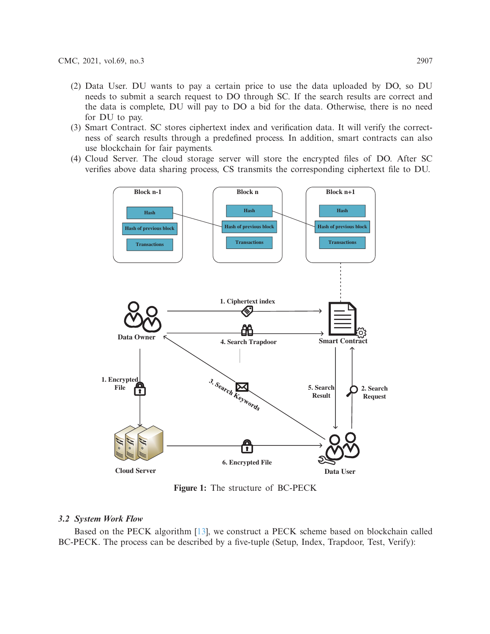- (2) Data User. DU wants to pay a certain price to use the data uploaded by DO, so DU needs to submit a search request to DO through SC. If the search results are correct and the data is complete, DU will pay to DO a bid for the data. Otherwise, there is no need for DU to pay.
- (3) Smart Contract. SC stores ciphertext index and verification data. It will verify the correctness of search results through a predefined process. In addition, smart contracts can also use blockchain for fair payments.
- (4) Cloud Server. The cloud storage server will store the encrypted files of DO. After SC verifies above data sharing process, CS transmits the corresponding ciphertext file to DU.



<span id="page-4-0"></span>**Figure 1:** The structure of BC-PECK

# *3.2 System Work Flow*

Based on the PECK algorithm [\[13](#page-12-4)], we construct a PECK scheme based on blockchain called BC-PECK. The process can be described by a five-tuple (Setup, Index, Trapdoor, Test, Verify):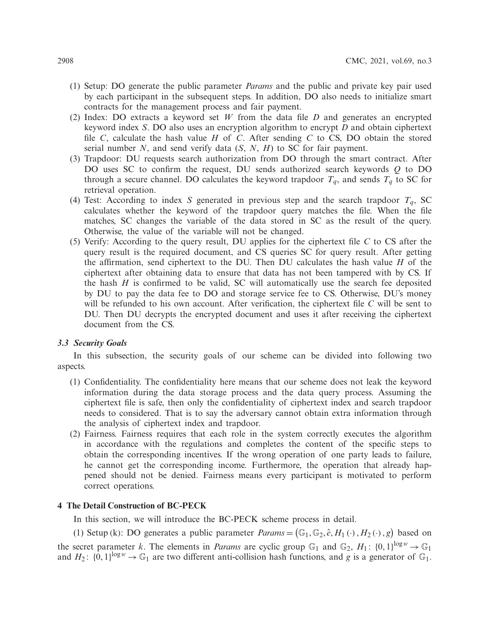- (1) Setup: DO generate the public parameter *Params* and the public and private key pair used by each participant in the subsequent steps. In addition, DO also needs to initialize smart contracts for the management process and fair payment.
- (2) Index: DO extracts a keyword set *W* from the data file *D* and generates an encrypted keyword index *S*. DO also uses an encryption algorithm to encrypt *D* and obtain ciphertext file *C*, calculate the hash value *H* of *C*. After sending *C* to CS, DO obtain the stored serial number *N*, and send verify data (*S*, *N*, *H*) to SC for fair payment.
- (3) Trapdoor: DU requests search authorization from DO through the smart contract. After DO uses SC to confirm the request, DU sends authorized search keywords *Q* to DO through a secure channel. DO calculates the keyword trapdoor  $T_q$ , and sends  $T_q$  to SC for retrieval operation.
- (4) Test: According to index *S* generated in previous step and the search trapdoor  $T_q$ , SC calculates whether the keyword of the trapdoor query matches the file. When the file matches, SC changes the variable of the data stored in SC as the result of the query. Otherwise, the value of the variable will not be changed.
- (5) Verify: According to the query result, DU applies for the ciphertext file *C* to CS after the query result is the required document, and CS queries SC for query result. After getting the affirmation, send ciphertext to the DU. Then DU calculates the hash value *H* of the ciphertext after obtaining data to ensure that data has not been tampered with by CS. If the hash *H* is confirmed to be valid, SC will automatically use the search fee deposited by DU to pay the data fee to DO and storage service fee to CS. Otherwise, DU's money will be refunded to his own account. After verification, the ciphertext file *C* will be sent to DU. Then DU decrypts the encrypted document and uses it after receiving the ciphertext document from the CS.

# *3.3 Security Goals*

In this subsection, the security goals of our scheme can be divided into following two aspects.

- (1) Confidentiality. The confidentiality here means that our scheme does not leak the keyword information during the data storage process and the data query process. Assuming the ciphertext file is safe, then only the confidentiality of ciphertext index and search trapdoor needs to considered. That is to say the adversary cannot obtain extra information through the analysis of ciphertext index and trapdoor.
- (2) Fairness. Fairness requires that each role in the system correctly executes the algorithm in accordance with the regulations and completes the content of the specific steps to obtain the corresponding incentives. If the wrong operation of one party leads to failure, he cannot get the corresponding income. Furthermore, the operation that already happened should not be denied. Fairness means every participant is motivated to perform correct operations.

# **4 The Detail Construction of BC-PECK**

In this section, we will introduce the BC-PECK scheme process in detail.

(1) Setup (k): DO generates a public parameter  $\text{Parameters} = (\mathbb{G}_1, \mathbb{G}_2, \hat{e}, H_1(\cdot), H_2(\cdot), g)$  based on the secret parameter *k*. The elements in *Params* are cyclic group  $\mathbb{G}_1$  and  $\mathbb{G}_2$ ,  $H_1$ :  $\{0,1\}^{\log w} \to \mathbb{G}_1$ and  $H_2$ :  $\{0,1\}^{\log w} \to \mathbb{G}_1$  are two different anti-collision hash functions, and *g* is a generator of  $\mathbb{G}_1$ .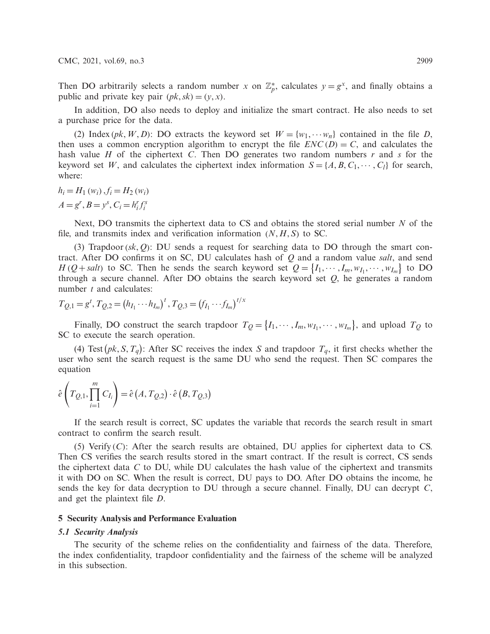Then DO arbitrarily selects a random number *x* on  $\mathbb{Z}_p^*$ , calculates  $y = g^x$ , and finally obtains a public and private key pair  $(pk, sk) = (y, x)$ .

In addition, DO also needs to deploy and initialize the smart contract. He also needs to set a purchase price for the data.

(2) Index (*pk*, *W*, *D*): DO extracts the keyword set  $W = \{w_1, \dots, w_n\}$  contained in the file *D*, then uses a common encryption algorithm to encrypt the file  $ENC(D) = C$ , and calculates the hash value *H* of the ciphertext *C*. Then DO generates two random numbers *r* and *s* for the keyword set *W*, and calculates the ciphertext index information  $S = \{A, B, C_1, \dots, C_l\}$  for search, where:

 $h_i = H_1(w_i)$ ,  $f_i = H_2(w_i)$  $A = g^r, B = y^s, C_i = h_i^r f_i^s$ 

Next, DO transmits the ciphertext data to CS and obtains the stored serial number *N* of the file, and transmits index and verification information  $(N, H, S)$  to SC.

(3) Trapdoor( $sk$ ,  $Q$ ): DU sends a request for searching data to DO through the smart contract. After DO confirms it on SC, DU calculates hash of *Q* and a random value *salt*, and send *H* (*Q* + *salt*) to SC. Then he sends the search keyword set  $Q = \{I_1, \dots, I_m, w_{I_1}, \dots, w_{I_m}\}$  to DO through a secure channel. After DO obtains the search keyword set *Q*, he generates a random number *t* and calculates:

$$
T_{Q,1} = g^t, T_{Q,2} = (h_{I_1} \cdots h_{I_m})^t, T_{Q,3} = (f_{I_1} \cdots f_{I_m})^{t/x}
$$

Finally, DO construct the search trapdoor  $T_Q = \{I_1, \dots, I_m, w_{I_1}, \dots, w_{I_m}\}\)$ , and upload  $T_Q$  to SC to execute the search operation.

(4) Test  $(pk, S, T_q)$ : After SC receives the index *S* and trapdoor  $T_q$ , it first checks whether the user who sent the search request is the same DU who send the request. Then SC compares the equation

$$
\hat{e}\left(T_{Q,1},\prod_{i=1}^{m}C_{I_{i}}\right)=\hat{e}\left(A,T_{Q,2}\right)\cdot\hat{e}\left(B,T_{Q,3}\right)
$$

If the search result is correct, SC updates the variable that records the search result in smart contract to confirm the search result.

(5) Verify (*C*): After the search results are obtained, DU applies for ciphertext data to CS. Then CS verifies the search results stored in the smart contract. If the result is correct, CS sends the ciphertext data *C* to DU, while DU calculates the hash value of the ciphertext and transmits it with DO on SC. When the result is correct, DU pays to DO. After DO obtains the income, he sends the key for data decryption to DU through a secure channel. Finally, DU can decrypt *C*, and get the plaintext file *D*.

#### **5 Security Analysis and Performance Evaluation**

#### *5.1 Security Analysis*

The security of the scheme relies on the confidentiality and fairness of the data. Therefore, the index confidentiality, trapdoor confidentiality and the fairness of the scheme will be analyzed in this subsection.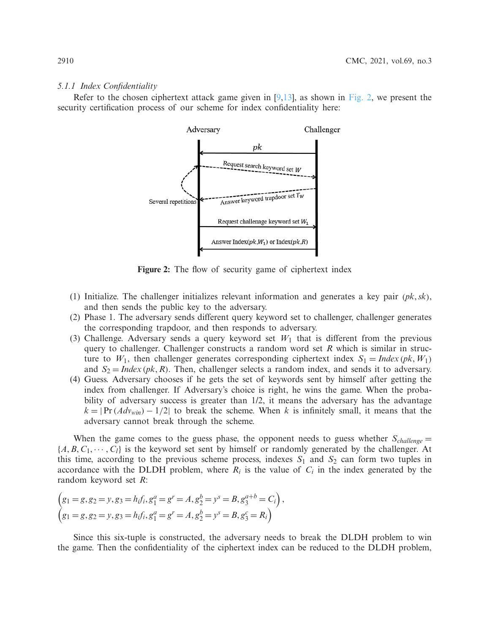#### *5.1.1 Index Confidentiality*

Refer to the chosen ciphertext attack game given in  $[9,13]$  $[9,13]$ , as shown in [Fig. 2,](#page-7-0) we present the security certification process of our scheme for index confidentiality here:



<span id="page-7-0"></span>Figure 2: The flow of security game of ciphertext index

- (1) Initialize. The challenger initializes relevant information and generates a key pair (*pk*,*sk*), and then sends the public key to the adversary.
- (2) Phase 1. The adversary sends different query keyword set to challenger, challenger generates the corresponding trapdoor, and then responds to adversary.
- (3) Challenge. Adversary sends a query keyword set  $W_1$  that is different from the previous query to challenger. Challenger constructs a random word set *R* which is similar in structure to  $W_1$ , then challenger generates corresponding ciphertext index  $S_1 = Index (pk, W_1)$ and  $S_2 = Index (pk, R)$ . Then, challenger selects a random index, and sends it to adversary.
- (4) Guess. Adversary chooses if he gets the set of keywords sent by himself after getting the index from challenger. If Adversary's choice is right, he wins the game. When the probability of adversary success is greater than  $1/2$ , it means the adversary has the advantage  $k = |Pr(Adv_{win}) - 1/2|$  to break the scheme. When k is infinitely small, it means that the adversary cannot break through the scheme.

When the game comes to the guess phase, the opponent needs to guess whether  $S_{\text{challenge}} =$  ${A, B, C_1, \cdots, C_l}$  is the keyword set sent by himself or randomly generated by the challenger. At this time, according to the previous scheme process, indexes  $S_1$  and  $S_2$  can form two tuples in accordance with the DLDH problem, where  $R_i$  is the value of  $C_i$  in the index generated by the random keyword set *R*:

$$
\begin{aligned}\n\left(g_1 = g, g_2 = y, g_3 = h_i f_i, g_1^a = g^r = A, g_2^b = y^s = B, g_3^{a+b} = C_i\right), \\
\left(g_1 = g, g_2 = y, g_3 = h_i f_i, g_1^a = g^r = A, g_2^b = y^s = B, g_3^c = R_i\right)\n\end{aligned}
$$

Since this six-tuple is constructed, the adversary needs to break the DLDH problem to win the game. Then the confidentiality of the ciphertext index can be reduced to the DLDH problem,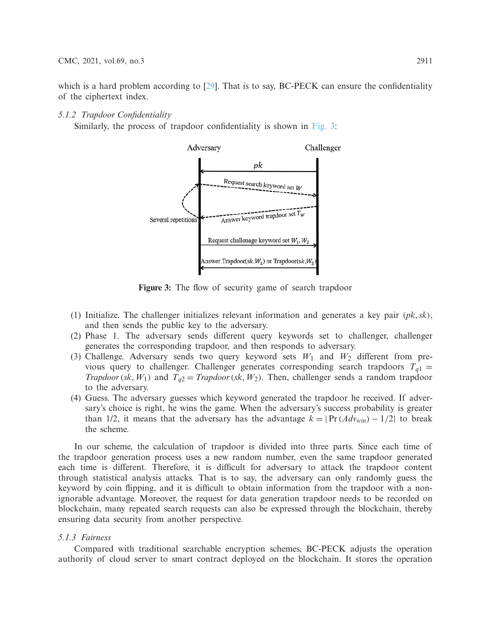which is a hard problem according to [\[29\]](#page-13-2). That is to say, BC-PECK can ensure the confidentiality of the ciphertext index.

# *5.1.2 Trapdoor Confidentiality*

Similarly, the process of trapdoor confidentiality is shown in [Fig. 3:](#page-8-0)



<span id="page-8-0"></span>**Figure 3:** The flow of security game of search trapdoor

- (1) Initialize. The challenger initializes relevant information and generates a key pair (*pk*,*sk*), and then sends the public key to the adversary.
- (2) Phase 1. The adversary sends different query keywords set to challenger, challenger generates the corresponding trapdoor, and then responds to adversary.
- (3) Challenge. Adversary sends two query keyword sets  $W_1$  and  $W_2$  different from previous query to challenger. Challenger generates corresponding search trapdoors  $T_{q1}$  = *Trapdoor*(*sk*, *W*<sub>1</sub>) and  $T_{q2} = Trapdoor$  (*sk*, *W*<sub>2</sub>). Then, challenger sends a random trapdoor to the adversary.
- (4) Guess. The adversary guesses which keyword generated the trapdoor he received. If adversary's choice is right, he wins the game. When the adversary's success probability is greater than 1/2, it means that the adversary has the advantage  $k = |Pr(Adv_{win}) - 1/2|$  to break the scheme.

In our scheme, the calculation of trapdoor is divided into three parts. Since each time of the trapdoor generation process uses a new random number, even the same trapdoor generated each time is different. Therefore, it is difficult for adversary to attack the trapdoor content through statistical analysis attacks. That is to say, the adversary can only randomly guess the keyword by coin flipping, and it is difficult to obtain information from the trapdoor with a nonignorable advantage. Moreover, the request for data generation trapdoor needs to be recorded on blockchain, many repeated search requests can also be expressed through the blockchain, thereby ensuring data security from another perspective.

# *5.1.3 Fairness*

Compared with traditional searchable encryption schemes, BC-PECK adjusts the operation authority of cloud server to smart contract deployed on the blockchain. It stores the operation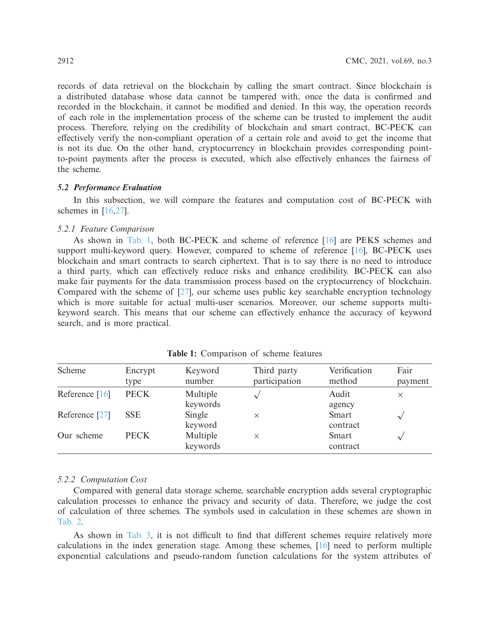records of data retrieval on the blockchain by calling the smart contract. Since blockchain is a distributed database whose data cannot be tampered with, once the data is confirmed and recorded in the blockchain, it cannot be modified and denied. In this way, the operation records of each role in the implementation process of the scheme can be trusted to implement the audit process. Therefore, relying on the credibility of blockchain and smart contract, BC-PECK can effectively verify the non-compliant operation of a certain role and avoid to get the income that is not its due. On the other hand, cryptocurrency in blockchain provides corresponding pointto-point payments after the process is executed, which also effectively enhances the fairness of the scheme.

# *5.2 Performance Evaluation*

In this subsection, we will compare the features and computation cost of BC-PECK with schemes in [\[16](#page-12-7)[,27\]](#page-13-0).

# *5.2.1 Feature Comparison*

As shown in [Tab. 1,](#page-9-0) both BC-PECK and scheme of reference [\[16](#page-12-7)] are PEKS schemes and support multi-keyword query. However, compared to scheme of reference [\[16\]](#page-12-7), BC-PECK uses blockchain and smart contracts to search ciphertext. That is to say there is no need to introduce a third party, which can effectively reduce risks and enhance credibility. BC-PECK can also make fair payments for the data transmission process based on the cryptocurrency of blockchain. Compared with the scheme of [\[27](#page-13-0)], our scheme uses public key searchable encryption technology which is more suitable for actual multi-user scenarios. Moreover, our scheme supports multikeyword search. This means that our scheme can effectively enhance the accuracy of keyword search, and is more practical.

<span id="page-9-0"></span>

| Scheme         | Encrypt<br>type | Keyword<br>number    | Third party<br>participation | Verification<br>method | Fair<br>payment |
|----------------|-----------------|----------------------|------------------------------|------------------------|-----------------|
| Reference [16] | <b>PECK</b>     | Multiple<br>keywords |                              | Audit<br>agency        | $\times$        |
| Reference [27] | <b>SSE</b>      | Single<br>keyword    | $\times$                     | Smart<br>contract      | $\checkmark$    |
| Our scheme     | <b>PECK</b>     | Multiple<br>keywords | $\times$                     | Smart<br>contract      | $\sim$          |

**Table 1:** Comparison of scheme features

# *5.2.2 Computation Cost*

Compared with general data storage scheme, searchable encryption adds several cryptographic calculation processes to enhance the privacy and security of data. Therefore, we judge the cost of calculation of three schemes. The symbols used in calculation in these schemes are shown in [Tab. 2.](#page-10-0)

As shown in [Tab. 3,](#page-10-1) it is not difficult to find that different schemes require relatively more calculations in the index generation stage. Among these schemes, [\[16](#page-12-7)] need to perform multiple exponential calculations and pseudo-random function calculations for the system attributes of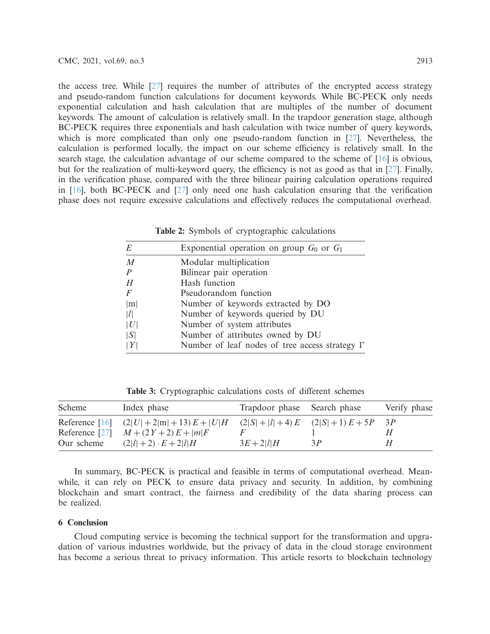the access tree. While  $[27]$  $[27]$  requires the number of attributes of the encrypted access strategy and pseudo-random function calculations for document keywords. While BC-PECK only needs exponential calculation and hash calculation that are multiples of the number of document keywords. The amount of calculation is relatively small. In the trapdoor generation stage, although BC-PECK requires three exponentials and hash calculation with twice number of query keywords, which is more complicated than only one pseudo-random function in [\[27](#page-13-0)]. Nevertheless, the calculation is performed locally, the impact on our scheme efficiency is relatively small. In the search stage, the calculation advantage of our scheme compared to the scheme of [\[16](#page-12-7)] is obvious, but for the realization of multi-keyword query, the efficiency is not as good as that in [\[27](#page-13-0)]. Finally, in the verification phase, compared with the three bilinear pairing calculation operations required in [\[16](#page-12-7)], both BC-PECK and [\[27](#page-13-0)] only need one hash calculation ensuring that the verification phase does not require excessive calculations and effectively reduces the computational overhead.

<span id="page-10-0"></span>

| E                | Exponential operation on group $G_0$ or $G_1$         |  |  |  |  |
|------------------|-------------------------------------------------------|--|--|--|--|
| $\overline{M}$   | Modular multiplication                                |  |  |  |  |
| $\boldsymbol{P}$ | Bilinear pair operation                               |  |  |  |  |
| H                | Hash function                                         |  |  |  |  |
| $\overline{F}$   | Pseudorandom function                                 |  |  |  |  |
| m                | Number of keywords extracted by DO                    |  |  |  |  |
| l                | Number of keywords queried by DU                      |  |  |  |  |
| U                | Number of system attributes                           |  |  |  |  |
| S                | Number of attributes owned by DU                      |  |  |  |  |
| Y                | Number of leaf nodes of tree access strategy $\Gamma$ |  |  |  |  |
|                  |                                                       |  |  |  |  |

**Table 2:** Symbols of cryptographic calculations

**Table 3:** Cryptographic calculations costs of different schemes

<span id="page-10-1"></span>

| Scheme         | Index phase                             | Trapdoor phase Search phase |                                  | Verify phase |
|----------------|-----------------------------------------|-----------------------------|----------------------------------|--------------|
|                | Reference $[16]$ $(2 U +2 m +13)E+ U H$ |                             | $(2 S + l +4) E$ $(2 S +1) E+5P$ |              |
| Reference [27] | $M + (2Y + 2)E +  m F$                  |                             |                                  | Н            |
| Our scheme     | $(2 l +2) \cdot E + 2 l H$              | $3E + 2 l H$                | 3P                               | H            |

In summary, BC-PECK is practical and feasible in terms of computational overhead. Meanwhile, it can rely on PECK to ensure data privacy and security. In addition, by combining blockchain and smart contract, the fairness and credibility of the data sharing process can be realized.

# **6 Conclusion**

Cloud computing service is becoming the technical support for the transformation and upgradation of various industries worldwide, but the privacy of data in the cloud storage environment has become a serious threat to privacy information. This article resorts to blockchain technology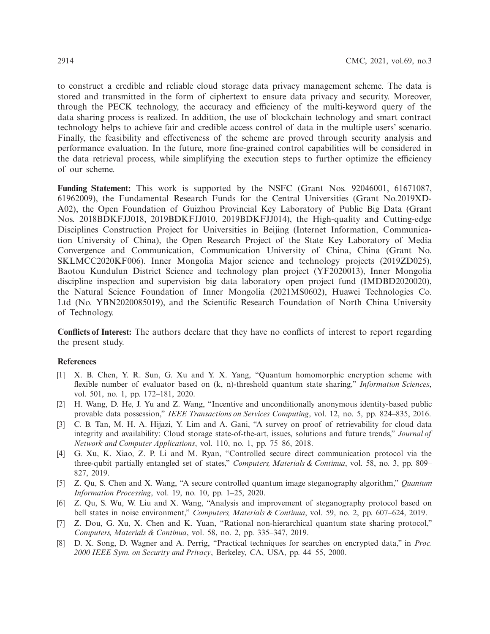to construct a credible and reliable cloud storage data privacy management scheme. The data is stored and transmitted in the form of ciphertext to ensure data privacy and security. Moreover, through the PECK technology, the accuracy and efficiency of the multi-keyword query of the data sharing process is realized. In addition, the use of blockchain technology and smart contract technology helps to achieve fair and credible access control of data in the multiple users' scenario. Finally, the feasibility and effectiveness of the scheme are proved through security analysis and performance evaluation. In the future, more fine-grained control capabilities will be considered in the data retrieval process, while simplifying the execution steps to further optimize the efficiency of our scheme.

**Funding Statement:** This work is supported by the NSFC (Grant Nos. 92046001, 61671087, 61962009), the Fundamental Research Funds for the Central Universities (Grant No.2019XD-A02), the Open Foundation of Guizhou Provincial Key Laboratory of Public Big Data (Grant Nos. 2018BDKFJJ018, 2019BDKFJJ010, 2019BDKFJJ014), the High-quality and Cutting-edge Disciplines Construction Project for Universities in Beijing (Internet Information, Communication University of China), the Open Research Project of the State Key Laboratory of Media Convergence and Communication, Communication University of China, China (Grant No. SKLMCC2020KF006). Inner Mongolia Major science and technology projects (2019ZD025), Baotou Kundulun District Science and technology plan project (YF2020013), Inner Mongolia discipline inspection and supervision big data laboratory open project fund (IMDBD2020020), the Natural Science Foundation of Inner Mongolia (2021MS0602), Huawei Technologies Co. Ltd (No. YBN2020085019), and the Scientific Research Foundation of North China University of Technology.

**Conflicts of Interest:** The authors declare that they have no conflicts of interest to report regarding the present study.

# **References**

- <span id="page-11-0"></span>[1] X. B. Chen, Y. R. Sun, G. Xu and Y. X. Yang, "Quantum homomorphic encryption scheme with flexible number of evaluator based on (k, n)-threshold quantum state sharing," *Information Sciences*, vol. 501, no. 1, pp. 172–181, 2020.
- <span id="page-11-1"></span>[2] H. Wang, D. He, J. Yu and Z. Wang, "Incentive and unconditionally anonymous identity-based public provable data possession," *IEEE Transactions on Services Computing*, vol. 12, no. 5, pp. 824–835, 2016.
- <span id="page-11-2"></span>[3] C. B. Tan, M. H. A. Hijazi, Y. Lim and A. Gani, "A survey on proof of retrievability for cloud data integrity and availability: Cloud storage state-of-the-art, issues, solutions and future trends," *Journal of Network and Computer Applications*, vol. 110, no. 1, pp. 75–86, 2018.
- <span id="page-11-3"></span>[4] G. Xu, K. Xiao, Z. P. Li and M. Ryan, "Controlled secure direct communication protocol via the three-qubit partially entangled set of states," *Computers, Materials & Continua*, vol. 58, no. 3, pp. 809– 827, 2019.
- [5] Z. Qu, S. Chen and X. Wang, "A secure controlled quantum image steganography algorithm," *Quantum Information Processing*, vol. 19, no. 10, pp. 1–25, 2020.
- [6] Z. Qu, S. Wu, W. Liu and X. Wang, "Analysis and improvement of steganography protocol based on bell states in noise environment," *Computers, Materials & Continua*, vol. 59, no. 2, pp. 607–624, 2019.
- <span id="page-11-4"></span>[7] Z. Dou, G. Xu, X. Chen and K. Yuan, "Rational non-hierarchical quantum state sharing protocol," *Computers, Materials & Continua*, vol. 58, no. 2, pp. 335–347, 2019.
- <span id="page-11-5"></span>[8] D. X. Song, D. Wagner and A. Perrig, "Practical techniques for searches on encrypted data," in *Proc. 2000 IEEE Sym. on Security and Privacy*, Berkeley, CA, USA, pp. 44–55, 2000.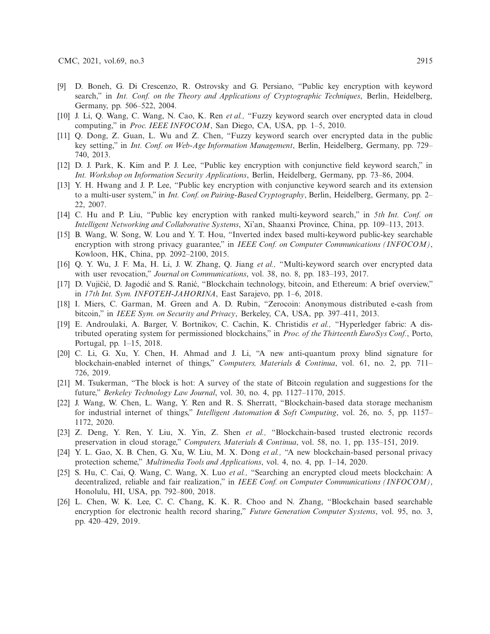- <span id="page-12-0"></span>[9] D. Boneh, G. Di Crescenzo, R. Ostrovsky and G. Persiano, "Public key encryption with keyword search," in *Int. Conf. on the Theory and Applications of Cryptographic Techniques*, Berlin, Heidelberg, Germany, pp. 506–522, 2004.
- <span id="page-12-1"></span>[10] J. Li, Q. Wang, C. Wang, N. Cao, K. Ren *et al.,* "Fuzzy keyword search over encrypted data in cloud computing," in *Proc. IEEE INFOCOM*, San Diego, CA, USA, pp. 1–5, 2010.
- <span id="page-12-2"></span>[11] Q. Dong, Z. Guan, L. Wu and Z. Chen, "Fuzzy keyword search over encrypted data in the public key setting," in *Int. Conf. on Web-Age Information Management*, Berlin, Heidelberg, Germany, pp. 729– 740, 2013.
- <span id="page-12-3"></span>[12] D. J. Park, K. Kim and P. J. Lee, "Public key encryption with conjunctive field keyword search," in *Int. Workshop on Information Security Applications*, Berlin, Heidelberg, Germany, pp. 73–86, 2004.
- <span id="page-12-4"></span>[13] Y. H. Hwang and J. P. Lee, "Public key encryption with conjunctive keyword search and its extension to a multi-user system," in *Int. Conf. on Pairing-Based Cryptography*, Berlin, Heidelberg, Germany, pp. 2– 22, 2007.
- <span id="page-12-5"></span>[14] C. Hu and P. Liu, "Public key encryption with ranked multi-keyword search," in *5th Int. Conf. on Intelligent Networking and Collaborative Systems*, Xi'an, Shaanxi Province, China, pp. 109–113, 2013.
- <span id="page-12-6"></span>[15] B. Wang, W. Song, W. Lou and Y. T. Hou, "Inverted index based multi-keyword public-key searchable encryption with strong privacy guarantee," in *IEEE Conf. on Computer Communications (INFOCOM)*, Kowloon, HK, China, pp. 2092–2100, 2015.
- <span id="page-12-7"></span>[16] Q. Y. Wu, J. F. Ma, H. Li, J. W. Zhang, Q. Jiang *et al.,* "Multi-keyword search over encrypted data with user revocation," *Journal on Communications*, vol. 38, no. 8, pp. 183–193, 2017.
- <span id="page-12-8"></span>[17] D. Vujičić, D. Jagodić and S. Ranić, "Blockchain technology, bitcoin, and Ethereum: A brief overview," in *17th Int. Sym. INFOTEH-JAHORINA*, East Sarajevo, pp. 1–6, 2018.
- [18] I. Miers, C. Garman, M. Green and A. D. Rubin, "Zerocoin: Anonymous distributed e-cash from bitcoin," in *IEEE Sym. on Security and Privacy*, Berkeley, CA, USA, pp. 397–411, 2013.
- [19] E. Androulaki, A. Barger, V. Bortnikov, C. Cachin, K. Christidis *et al.,* "Hyperledger fabric: A distributed operating system for permissioned blockchains," in *Proc. of the Thirteenth EuroSys Conf.*, Porto, Portugal, pp. 1–15, 2018.
- <span id="page-12-9"></span>[20] C. Li, G. Xu, Y. Chen, H. Ahmad and J. Li, "A new anti-quantum proxy blind signature for blockchain-enabled internet of things," *Computers, Materials & Continua*, vol. 61, no. 2, pp. 711– 726, 2019.
- <span id="page-12-10"></span>[21] M. Tsukerman, "The block is hot: A survey of the state of Bitcoin regulation and suggestions for the future," *Berkeley Technology Law Journal*, vol. 30, no. 4, pp. 1127–1170, 2015.
- <span id="page-12-11"></span>[22] J. Wang, W. Chen, L. Wang, Y. Ren and R. S. Sherratt, "Blockchain-based data storage mechanism for industrial internet of things," *Intelligent Automation & Soft Computing*, vol. 26, no. 5, pp. 1157– 1172, 2020.
- <span id="page-12-12"></span>[23] Z. Deng, Y. Ren, Y. Liu, X. Yin, Z. Shen *et al.,* "Blockchain-based trusted electronic records preservation in cloud storage," *Computers, Materials & Continua*, vol. 58, no. 1, pp. 135–151, 2019.
- <span id="page-12-13"></span>[24] Y. L. Gao, X. B. Chen, G. Xu, W. Liu, M. X. Dong *et al.,* "A new blockchain-based personal privacy protection scheme," *Multimedia Tools and Applications*, vol. 4, no. 4, pp. 1–14, 2020.
- <span id="page-12-14"></span>[25] S. Hu, C. Cai, Q. Wang, C. Wang, X. Luo *et al.,* "Searching an encrypted cloud meets blockchain: A decentralized, reliable and fair realization," in *IEEE Conf. on Computer Communications (INFOCOM)*, Honolulu, HI, USA, pp. 792–800, 2018.
- <span id="page-12-15"></span>[26] L. Chen, W. K. Lee, C. C. Chang, K. K. R. Choo and N. Zhang, "Blockchain based searchable encryption for electronic health record sharing," *Future Generation Computer Systems*, vol. 95, no. 3, pp. 420–429, 2019.